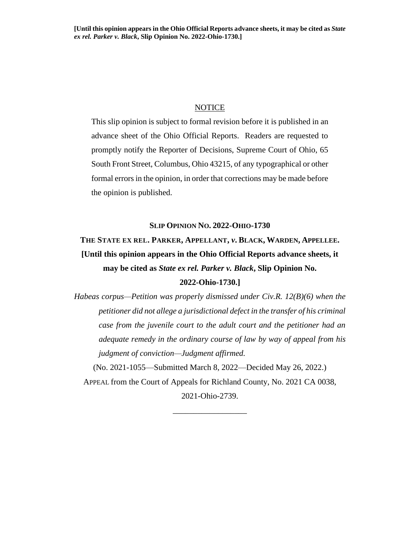# NOTICE

This slip opinion is subject to formal revision before it is published in an advance sheet of the Ohio Official Reports. Readers are requested to promptly notify the Reporter of Decisions, Supreme Court of Ohio, 65 South Front Street, Columbus, Ohio 43215, of any typographical or other formal errors in the opinion, in order that corrections may be made before the opinion is published.

### **SLIP OPINION NO. 2022-OHIO-1730**

# **THE STATE EX REL. PARKER, APPELLANT,** *v***. BLACK, WARDEN, APPELLEE. [Until this opinion appears in the Ohio Official Reports advance sheets, it may be cited as** *State ex rel. Parker v. Black***, Slip Opinion No. 2022-Ohio-1730.]**

*Habeas corpus—Petition was properly dismissed under Civ.R. 12(B)(6) when the petitioner did not allege a jurisdictional defect in the transfer of his criminal case from the juvenile court to the adult court and the petitioner had an adequate remedy in the ordinary course of law by way of appeal from his judgment of conviction—Judgment affirmed.*

(No. 2021-1055—Submitted March 8, 2022—Decided May 26, 2022.) APPEAL from the Court of Appeals for Richland County, No. 2021 CA 0038, 2021-Ohio-2739.

\_\_\_\_\_\_\_\_\_\_\_\_\_\_\_\_\_\_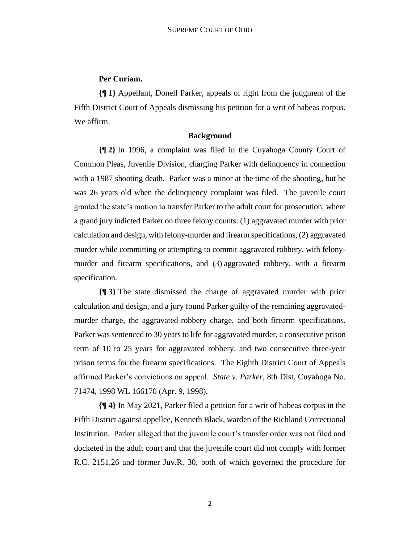# **Per Curiam.**

**{¶ 1}** Appellant, Donell Parker, appeals of right from the judgment of the Fifth District Court of Appeals dismissing his petition for a writ of habeas corpus. We affirm.

# **Background**

**{¶ 2}** In 1996, a complaint was filed in the Cuyahoga County Court of Common Pleas, Juvenile Division, charging Parker with delinquency in connection with a 1987 shooting death. Parker was a minor at the time of the shooting, but he was 26 years old when the delinquency complaint was filed. The juvenile court granted the state's motion to transfer Parker to the adult court for prosecution, where a grand jury indicted Parker on three felony counts: (1) aggravated murder with prior calculation and design, with felony-murder and firearm specifications, (2) aggravated murder while committing or attempting to commit aggravated robbery, with felonymurder and firearm specifications, and (3) aggravated robbery, with a firearm specification.

**{¶ 3}** The state dismissed the charge of aggravated murder with prior calculation and design, and a jury found Parker guilty of the remaining aggravatedmurder charge, the aggravated-robbery charge, and both firearm specifications. Parker was sentenced to 30 years to life for aggravated murder, a consecutive prison term of 10 to 25 years for aggravated robbery, and two consecutive three-year prison terms for the firearm specifications. The Eighth District Court of Appeals affirmed Parker's convictions on appeal. *State v. Parker*, 8th Dist. Cuyahoga No. 71474, 1998 WL 166170 (Apr. 9, 1998).

**{¶ 4}** In May 2021, Parker filed a petition for a writ of habeas corpus in the Fifth District against appellee, Kenneth Black, warden of the Richland Correctional Institution. Parker alleged that the juvenile court's transfer order was not filed and docketed in the adult court and that the juvenile court did not comply with former R.C. 2151.26 and former Juv.R. 30, both of which governed the procedure for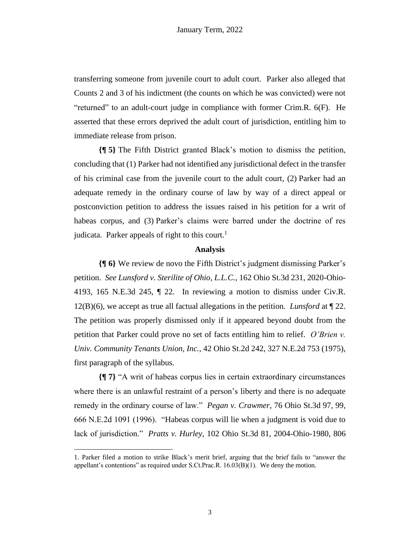transferring someone from juvenile court to adult court. Parker also alleged that Counts 2 and 3 of his indictment (the counts on which he was convicted) were not "returned" to an adult-court judge in compliance with former Crim.R. 6(F). He asserted that these errors deprived the adult court of jurisdiction, entitling him to immediate release from prison.

**{¶ 5}** The Fifth District granted Black's motion to dismiss the petition, concluding that (1) Parker had not identified any jurisdictional defect in the transfer of his criminal case from the juvenile court to the adult court, (2) Parker had an adequate remedy in the ordinary course of law by way of a direct appeal or postconviction petition to address the issues raised in his petition for a writ of habeas corpus, and (3) Parker's claims were barred under the doctrine of res judicata. Parker appeals of right to this court.<sup>1</sup>

#### **Analysis**

**{¶ 6}** We review de novo the Fifth District's judgment dismissing Parker's petition. *See Lunsford v. Sterilite of Ohio, L.L.C.*, 162 Ohio St.3d 231, 2020-Ohio-4193, 165 N.E.3d 245, ¶ 22. In reviewing a motion to dismiss under Civ.R. 12(B)(6), we accept as true all factual allegations in the petition. *Lunsford* at ¶ 22. The petition was properly dismissed only if it appeared beyond doubt from the petition that Parker could prove no set of facts entitling him to relief. *O'Brien v. Univ. Community Tenants Union, Inc.*, 42 Ohio St.2d 242, 327 N.E.2d 753 (1975), first paragraph of the syllabus.

**{¶ 7}** "A writ of habeas corpus lies in certain extraordinary circumstances where there is an unlawful restraint of a person's liberty and there is no adequate remedy in the ordinary course of law." *Pegan v. Crawmer*, 76 Ohio St.3d 97, 99, 666 N.E.2d 1091 (1996). "Habeas corpus will lie when a judgment is void due to lack of jurisdiction." *Pratts v. Hurley*, 102 Ohio St.3d 81, 2004-Ohio-1980, 806

<sup>1.</sup> Parker filed a motion to strike Black's merit brief, arguing that the brief fails to "answer the appellant's contentions" as required under S.Ct.Prac.R. 16.03(B)(1). We deny the motion.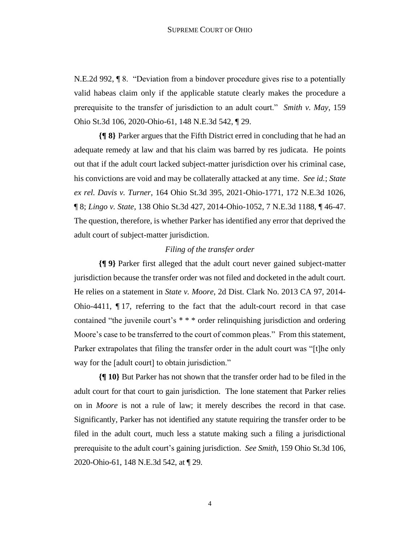N.E.2d 992, ¶ 8. "Deviation from a bindover procedure gives rise to a potentially valid habeas claim only if the applicable statute clearly makes the procedure a prerequisite to the transfer of jurisdiction to an adult court." *Smith v. May*, 159 Ohio St.3d 106, 2020-Ohio-61, 148 N.E.3d 542, ¶ 29.

**{¶ 8}** Parker argues that the Fifth District erred in concluding that he had an adequate remedy at law and that his claim was barred by res judicata. He points out that if the adult court lacked subject-matter jurisdiction over his criminal case, his convictions are void and may be collaterally attacked at any time. *See id.*; *State ex rel. Davis v. Turner*, 164 Ohio St.3d 395, 2021-Ohio-1771, 172 N.E.3d 1026, ¶ 8; *Lingo v. State*, 138 Ohio St.3d 427, 2014-Ohio-1052, 7 N.E.3d 1188, ¶ 46-47. The question, therefore, is whether Parker has identified any error that deprived the adult court of subject-matter jurisdiction.

### *Filing of the transfer order*

**{¶ 9}** Parker first alleged that the adult court never gained subject-matter jurisdiction because the transfer order was not filed and docketed in the adult court. He relies on a statement in *State v. Moore*, 2d Dist. Clark No. 2013 CA 97, 2014- Ohio-4411, ¶ 17, referring to the fact that the adult-court record in that case contained "the juvenile court's \* \* \* order relinquishing jurisdiction and ordering Moore's case to be transferred to the court of common pleas." From this statement, Parker extrapolates that filing the transfer order in the adult court was "[t]he only way for the [adult court] to obtain jurisdiction."

**{¶ 10}** But Parker has not shown that the transfer order had to be filed in the adult court for that court to gain jurisdiction. The lone statement that Parker relies on in *Moore* is not a rule of law; it merely describes the record in that case. Significantly, Parker has not identified any statute requiring the transfer order to be filed in the adult court, much less a statute making such a filing a jurisdictional prerequisite to the adult court's gaining jurisdiction. *See Smith*, 159 Ohio St.3d 106, 2020-Ohio-61, 148 N.E.3d 542, at ¶ 29.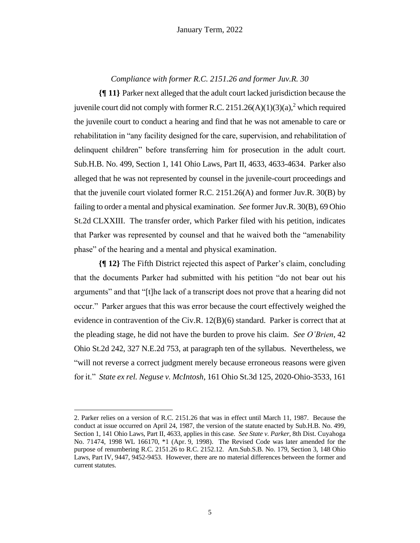*Compliance with former R.C. 2151.26 and former Juv.R. 30*

**{¶ 11}** Parker next alleged that the adult court lacked jurisdiction because the juvenile court did not comply with former R.C. 2151.26(A)(1)(3)(a),<sup>2</sup> which required the juvenile court to conduct a hearing and find that he was not amenable to care or rehabilitation in "any facility designed for the care, supervision, and rehabilitation of delinquent children" before transferring him for prosecution in the adult court. Sub.H.B. No. 499, Section 1, 141 Ohio Laws, Part II, 4633, 4633-4634. Parker also alleged that he was not represented by counsel in the juvenile-court proceedings and that the juvenile court violated former R.C. 2151.26(A) and former Juv.R. 30(B) by failing to order a mental and physical examination. *See* former Juv.R. 30(B), 69 Ohio St.2d CLXXIII. The transfer order, which Parker filed with his petition, indicates that Parker was represented by counsel and that he waived both the "amenability phase" of the hearing and a mental and physical examination.

**{¶ 12}** The Fifth District rejected this aspect of Parker's claim, concluding that the documents Parker had submitted with his petition "do not bear out his arguments" and that "[t]he lack of a transcript does not prove that a hearing did not occur." Parker argues that this was error because the court effectively weighed the evidence in contravention of the Civ.R. 12(B)(6) standard. Parker is correct that at the pleading stage, he did not have the burden to prove his claim. *See O'Brien*, 42 Ohio St.2d 242, 327 N.E.2d 753, at paragraph ten of the syllabus. Nevertheless, we "will not reverse a correct judgment merely because erroneous reasons were given for it." *State ex rel. Neguse v. McIntosh*, 161 Ohio St.3d 125, 2020-Ohio-3533, 161

<sup>2.</sup> Parker relies on a version of R.C. 2151.26 that was in effect until March 11, 1987. Because the conduct at issue occurred on April 24, 1987, the version of the statute enacted by Sub.H.B. No. 499, Section 1, 141 Ohio Laws, Part II, 4633, applies in this case. *See State v. Parker*, 8th Dist. Cuyahoga No. 71474, 1998 WL 166170, \*1 (Apr. 9, 1998). The Revised Code was later amended for the purpose of renumbering R.C. 2151.26 to R.C. 2152.12. Am.Sub.S.B. No. 179, Section 3, 148 Ohio Laws, Part IV, 9447, 9452-9453. However, there are no material differences between the former and current statutes.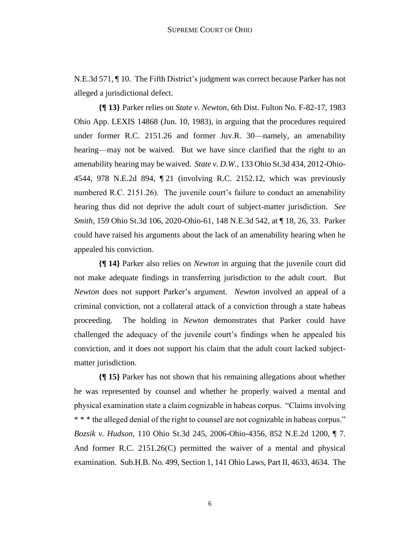N.E.3d 571, ¶ 10. The Fifth District's judgment was correct because Parker has not alleged a jurisdictional defect.

**{¶ 13}** Parker relies on *State v. Newton*, 6th Dist. Fulton No. F-82-17, 1983 Ohio App. LEXIS 14868 (Jun. 10, 1983), in arguing that the procedures required under former R.C. 2151.26 and former Juv.R. 30—namely, an amenability hearing—may not be waived. But we have since clarified that the right to an amenability hearing may be waived. *State v. D.W.*, 133 Ohio St.3d 434, 2012-Ohio-4544, 978 N.E.2d 894, ¶ 21 (involving R.C. 2152.12, which was previously numbered R.C. 2151.26). The juvenile court's failure to conduct an amenability hearing thus did not deprive the adult court of subject-matter jurisdiction. *See Smith*, 159 Ohio St.3d 106, 2020-Ohio-61, 148 N.E.3d 542, at ¶ 18, 26, 33. Parker could have raised his arguments about the lack of an amenability hearing when he appealed his conviction.

**{¶ 14}** Parker also relies on *Newton* in arguing that the juvenile court did not make adequate findings in transferring jurisdiction to the adult court. But *Newton* does not support Parker's argument. *Newton* involved an appeal of a criminal conviction, not a collateral attack of a conviction through a state habeas proceeding. The holding in *Newton* demonstrates that Parker could have challenged the adequacy of the juvenile court's findings when he appealed his conviction, and it does not support his claim that the adult court lacked subjectmatter jurisdiction.

**{¶ 15}** Parker has not shown that his remaining allegations about whether he was represented by counsel and whether he properly waived a mental and physical examination state a claim cognizable in habeas corpus. "Claims involving \* \* \* the alleged denial of the right to counsel are not cognizable in habeas corpus." *Bozsik v. Hudson*, 110 Ohio St.3d 245, 2006-Ohio-4356, 852 N.E.2d 1200, ¶ 7. And former R.C. 2151.26(C) permitted the waiver of a mental and physical examination. Sub.H.B. No. 499, Section 1, 141 Ohio Laws, Part II, 4633, 4634. The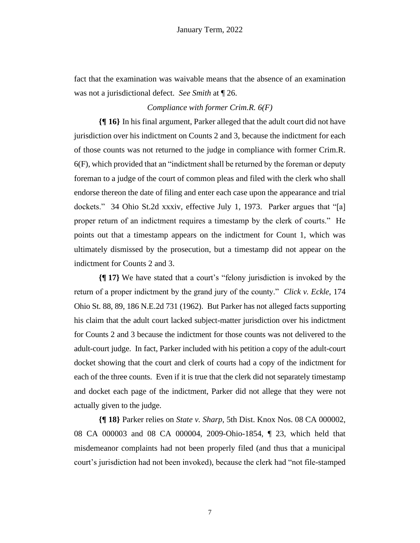fact that the examination was waivable means that the absence of an examination was not a jurisdictional defect. *See Smith* at ¶ 26.

### *Compliance with former Crim.R. 6(F)*

**{¶ 16}** In his final argument, Parker alleged that the adult court did not have jurisdiction over his indictment on Counts 2 and 3, because the indictment for each of those counts was not returned to the judge in compliance with former Crim.R. 6(F), which provided that an "indictment shall be returned by the foreman or deputy foreman to a judge of the court of common pleas and filed with the clerk who shall endorse thereon the date of filing and enter each case upon the appearance and trial dockets." 34 Ohio St.2d xxxiv, effective July 1, 1973. Parker argues that "[a] proper return of an indictment requires a timestamp by the clerk of courts." He points out that a timestamp appears on the indictment for Count 1, which was ultimately dismissed by the prosecution, but a timestamp did not appear on the indictment for Counts 2 and 3.

**{¶ 17}** We have stated that a court's "felony jurisdiction is invoked by the return of a proper indictment by the grand jury of the county." *Click v. Eckle*, 174 Ohio St. 88, 89, 186 N.E.2d 731 (1962). But Parker has not alleged facts supporting his claim that the adult court lacked subject-matter jurisdiction over his indictment for Counts 2 and 3 because the indictment for those counts was not delivered to the adult-court judge. In fact, Parker included with his petition a copy of the adult-court docket showing that the court and clerk of courts had a copy of the indictment for each of the three counts. Even if it is true that the clerk did not separately timestamp and docket each page of the indictment, Parker did not allege that they were not actually given to the judge.

**{¶ 18}** Parker relies on *State v. Sharp*, 5th Dist. Knox Nos. 08 CA 000002, 08 CA 000003 and 08 CA 000004, 2009-Ohio-1854, ¶ 23, which held that misdemeanor complaints had not been properly filed (and thus that a municipal court's jurisdiction had not been invoked), because the clerk had "not file-stamped